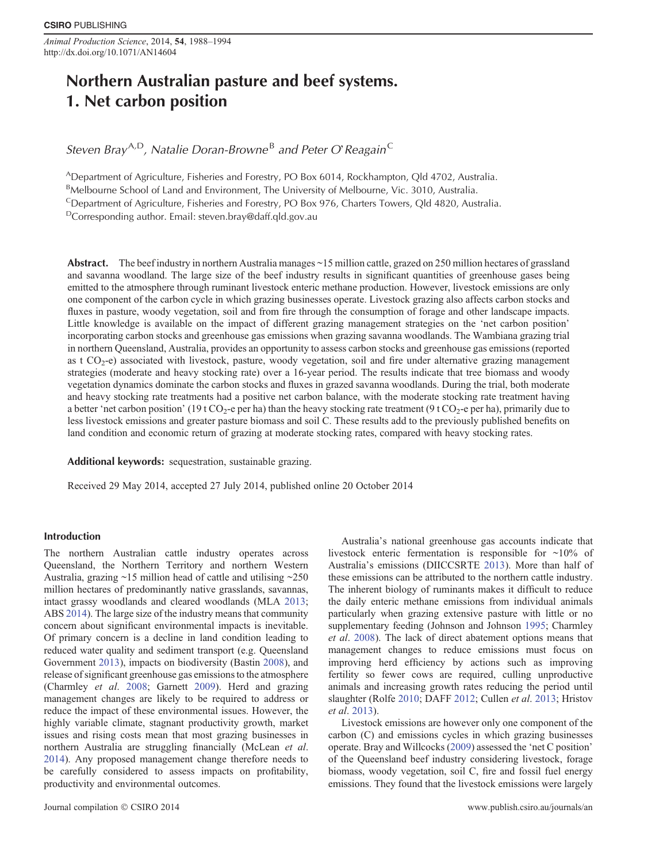*Animal Production Science*, 2014, **54**, 1988–1994 http://dx.doi.org/10.1071/AN14604

# **Northern Australian pasture and beef systems. 1. Net carbon position**

*Steven Bray*A*,*D*, Natalie Doran-Browne* <sup>B</sup> *and Peter O*'*Reagain*<sup>C</sup>

ADepartment of Agriculture, Fisheries and Forestry, PO Box 6014, Rockhampton, Qld 4702, Australia.

BMelbourne School of Land and Environment, The University of Melbourne, Vic. 3010, Australia.

<sup>C</sup>Department of Agriculture, Fisheries and Forestry, PO Box 976, Charters Towers, Qld 4820, Australia.

DCorresponding author. Email: [steven.bray@daff.qld.gov.au](mailto:steven.bray@daff.qld.gov.au)

Abstract. The beef industry in northern Australia manages ~15 million cattle, grazed on 250 million hectares of grassland and savanna woodland. The large size of the beef industry results in significant quantities of greenhouse gases being emitted to the atmosphere through ruminant livestock enteric methane production. However, livestock emissions are only one component of the carbon cycle in which grazing businesses operate. Livestock grazing also affects carbon stocks and fluxes in pasture, woody vegetation, soil and from fire through the consumption of forage and other landscape impacts. Little knowledge is available on the impact of different grazing management strategies on the 'net carbon position' incorporating carbon stocks and greenhouse gas emissions when grazing savanna woodlands. The Wambiana grazing trial in northern Queensland, Australia, provides an opportunity to assess carbon stocks and greenhouse gas emissions (reported as t CO2-e) associated with livestock, pasture, woody vegetation, soil and fire under alternative grazing management strategies (moderate and heavy stocking rate) over a 16-year period. The results indicate that tree biomass and woody vegetation dynamics dominate the carbon stocks and fluxes in grazed savanna woodlands. During the trial, both moderate and heavy stocking rate treatments had a positive net carbon balance, with the moderate stocking rate treatment having a better 'net carbon position' (19 t CO<sub>2</sub>-e per ha) than the heavy stocking rate treatment (9 t CO<sub>2</sub>-e per ha), primarily due to less livestock emissions and greater pasture biomass and soil C. These results add to the previously published benefits on land condition and economic return of grazing at moderate stocking rates, compared with heavy stocking rates.

**Additional keywords:** sequestration, sustainable grazing.

Received 29 May 2014, accepted 27 July 2014, published online 20 October 2014

# **Introduction**

The northern Australian cattle industry operates across Queensland, the Northern Territory and northern Western Australia, grazing ~15 million head of cattle and utilising ~250 million hectares of predominantly native grasslands, savannas, intact grassy woodlands and cleared woodlands (MLA [2013](#page-6-0); ABS [2014\)](#page-5-0). The large size of the industry means that community concern about significant environmental impacts is inevitable. Of primary concern is a decline in land condition leading to reduced water quality and sediment transport (e.g. Queensland Government [2013](#page-6-0)), impacts on biodiversity (Bastin [2008\)](#page-5-0), and release of significant greenhouse gas emissions to the atmosphere (Charmley *et al*. [2008](#page-5-0); Garnett [2009\)](#page-5-0). Herd and grazing management changes are likely to be required to address or reduce the impact of these environmental issues. However, the highly variable climate, stagnant productivity growth, market issues and rising costs mean that most grazing businesses in northern Australia are struggling financially (McLean *et al*. [2014\)](#page-6-0). Any proposed management change therefore needs to be carefully considered to assess impacts on profitability, productivity and environmental outcomes.

the daily enteric methane emissions from individual animals particularly when grazing extensive pasture with little or no supplementary feeding (Johnson and Johnson [1995](#page-6-0); Charmley *et al*. [2008\)](#page-5-0). The lack of direct abatement options means that management changes to reduce emissions must focus on improving herd efficiency by actions such as improving fertility so fewer cows are required, culling unproductive animals and increasing growth rates reducing the period until slaughter (Rolfe [2010;](#page-6-0) DAFF [2012](#page-5-0); Cullen *et al*. [2013;](#page-5-0) Hristov *et al*. [2013](#page-5-0)). Livestock emissions are however only one component of the

carbon (C) and emissions cycles in which grazing businesses operate. Bray and Willcocks ([2009\)](#page-5-0) assessed the 'net C position' of the Queensland beef industry considering livestock, forage biomass, woody vegetation, soil C, fire and fossil fuel energy emissions. They found that the livestock emissions were largely

Australia's national greenhouse gas accounts indicate that livestock enteric fermentation is responsible for ~10% of Australia's emissions (DIICCSRTE [2013](#page-5-0)). More than half of these emissions can be attributed to the northern cattle industry. The inherent biology of ruminants makes it difficult to reduce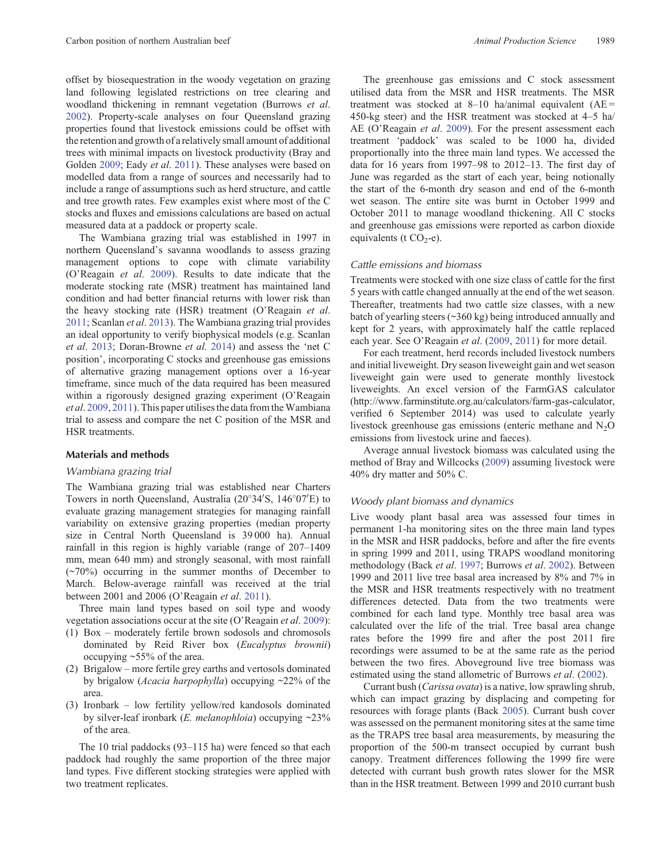offset by biosequestration in the woody vegetation on grazing land following legislated restrictions on tree clearing and woodland thickening in remnant vegetation (Burrows *et al*. [2002](#page-5-0)). Property-scale analyses on four Queensland grazing properties found that livestock emissions could be offset with the retention and growth of a relatively small amount of additional trees with minimal impacts on livestock productivity (Bray and Golden [2009;](#page-5-0) Eady *et al*. [2011\)](#page-5-0). These analyses were based on modelled data from a range of sources and necessarily had to include a range of assumptions such as herd structure, and cattle and tree growth rates. Few examples exist where most of the C stocks and fluxes and emissions calculations are based on actual measured data at a paddock or property scale.

The Wambiana grazing trial was established in 1997 in northern Queensland's savanna woodlands to assess grazing management options to cope with climate variability (O'Reagain *et al*. [2009\)](#page-6-0). Results to date indicate that the moderate stocking rate (MSR) treatment has maintained land condition and had better financial returns with lower risk than the heavy stocking rate (HSR) treatment (O'Reagain *et al*. [2011](#page-6-0); Scanlan *et al*. [2013](#page-6-0)). The Wambiana grazing trial provides an ideal opportunity to verify biophysical models (e.g. Scanlan *et al*. [2013;](#page-5-0) Doran-Browne *et al.* [2014\)](#page-5-0) and assess the 'net C position', incorporating C stocks and greenhouse gas emissions of alternative grazing management options over a 16-year timeframe, since much of the data required has been measured within a rigorously designed grazing experiment (O'Reagain *et al*. [2009,](#page-6-0) [2011](#page-6-0)). This paper utilises the data from theWambiana trial to assess and compare the net C position of the MSR and HSR treatments.

## **Materials and methods**

#### *Wambiana grazing trial*

The Wambiana grazing trial was established near Charters Towers in north Queensland, Australia (20°34'S, 146°07'E) to evaluate grazing management strategies for managing rainfall variability on extensive grazing properties (median property size in Central North Queensland is 39 000 ha). Annual rainfall in this region is highly variable (range of 207–1409 mm, mean 640 mm) and strongly seasonal, with most rainfall (~70%) occurring in the summer months of December to March. Below-average rainfall was received at the trial between 2001 and 2006 (O'Reagain *et al*. [2011\)](#page-6-0).

Three main land types based on soil type and woody vegetation associations occur at the site (O'Reagain *et al*. [2009\)](#page-6-0):

- (1) Box moderately fertile brown sodosols and chromosols dominated by Reid River box (*Eucalyptus brownii*) occupying ~55% of the area.
- (2) Brigalow more fertile grey earths and vertosols dominated by brigalow (*Acacia harpophylla*) occupying ~22% of the area.
- (3) Ironbark low fertility yellow/red kandosols dominated by silver-leaf ironbark (*E. melanophloia*) occupying ~23% of the area.

The 10 trial paddocks (93–115 ha) were fenced so that each paddock had roughly the same proportion of the three major land types. Five different stocking strategies were applied with two treatment replicates.

The greenhouse gas emissions and C stock assessment utilised data from the MSR and HSR treatments. The MSR treatment was stocked at  $8-10$  ha/animal equivalent (AE = 450-kg steer) and the HSR treatment was stocked at 4–5 ha/ AE (O'Reagain *et al*. [2009](#page-6-0)). For the present assessment each treatment 'paddock' was scaled to be 1000 ha, divided proportionally into the three main land types. We accessed the data for 16 years from 1997–98 to 2012–13. The first day of June was regarded as the start of each year, being notionally the start of the 6-month dry season and end of the 6-month wet season. The entire site was burnt in October 1999 and October 2011 to manage woodland thickening. All C stocks and greenhouse gas emissions were reported as carbon dioxide equivalents (t  $CO<sub>2</sub>$ -e).

## *Cattle emissions and biomass*

Treatments were stocked with one size class of cattle for the first 5 years with cattle changed annually at the end of the wet season. Thereafter, treatments had two cattle size classes, with a new batch of yearling steers (~360 kg) being introduced annually and kept for 2 years, with approximately half the cattle replaced each year. See O'Reagain *et al*. ([2009,](#page-6-0) [2011](#page-6-0)) for more detail.

For each treatment, herd records included livestock numbers and initial liveweight. Dry season liveweight gain and wet season liveweight gain were used to generate monthly livestock liveweights. An excel version of the FarmGAS calculator ([http://www.farminstitute.org.au/calculators/farm-gas-calculator](www.farminstitute.org.au/calculators/farm-gas-calculator), verified 6 September 2014) was used to calculate yearly livestock greenhouse gas emissions (enteric methane and  $N<sub>2</sub>O$ emissions from livestock urine and faeces).

Average annual livestock biomass was calculated using the method of Bray and Willcocks [\(2009](#page-5-0)) assuming livestock were 40% dry matter and 50% C.

## *Woody plant biomass and dynamics*

Live woody plant basal area was assessed four times in permanent 1-ha monitoring sites on the three main land types in the MSR and HSR paddocks, before and after the fire events in spring 1999 and 2011, using TRAPS woodland monitoring methodology (Back *et al*. [1997](#page-5-0); Burrows *et al*. [2002\)](#page-5-0). Between 1999 and 2011 live tree basal area increased by 8% and 7% in the MSR and HSR treatments respectively with no treatment differences detected. Data from the two treatments were combined for each land type. Monthly tree basal area was calculated over the life of the trial. Tree basal area change rates before the 1999 fire and after the post 2011 fire recordings were assumed to be at the same rate as the period between the two fires. Aboveground live tree biomass was estimated using the stand allometric of Burrows *et al*. [\(2002\)](#page-5-0).

Currant bush (*Carissa ovata*) is a native, low sprawling shrub, which can impact grazing by displacing and competing for resources with forage plants (Back [2005\)](#page-5-0). Currant bush cover was assessed on the permanent monitoring sites at the same time as the TRAPS tree basal area measurements, by measuring the proportion of the 500-m transect occupied by currant bush canopy. Treatment differences following the 1999 fire were detected with currant bush growth rates slower for the MSR than in the HSR treatment. Between 1999 and 2010 currant bush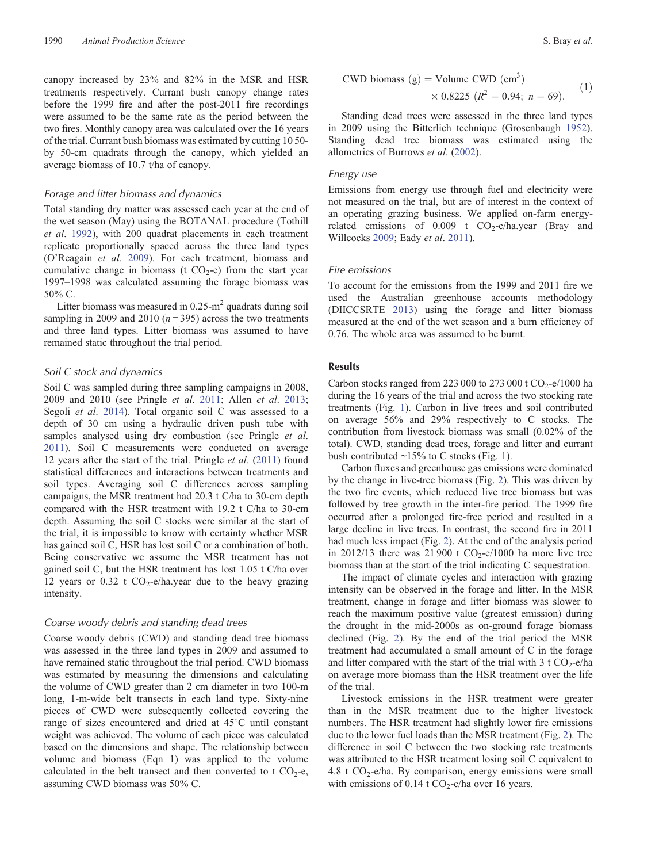canopy increased by 23% and 82% in the MSR and HSR treatments respectively. Currant bush canopy change rates before the 1999 fire and after the post-2011 fire recordings were assumed to be the same rate as the period between the two fires. Monthly canopy area was calculated over the 16 years of the trial. Currant bush biomass was estimated by cutting 10 50 by 50-cm quadrats through the canopy, which yielded an average biomass of 10.7 t/ha of canopy.

## *Forage and litter biomass and dynamics*

Total standing dry matter was assessed each year at the end of the wet season (May) using the BOTANAL procedure (Tothill *et al*. [1992](#page-6-0)), with 200 quadrat placements in each treatment replicate proportionally spaced across the three land types (O'Reagain *et al*. [2009\)](#page-6-0). For each treatment, biomass and cumulative change in biomass (t  $CO<sub>2</sub>$ -e) from the start year 1997–1998 was calculated assuming the forage biomass was 50% C.

Litter biomass was measured in  $0.25 \text{ m}^2$  quadrats during soil sampling in 2009 and 2010  $(n=395)$  across the two treatments and three land types. Litter biomass was assumed to have remained static throughout the trial period.

## *Soil C stock and dynamics*

Soil C was sampled during three sampling campaigns in 2008, 2009 and 2010 (see Pringle *et al*. [2011;](#page-6-0) Allen *et al*. [2013](#page-5-0); Segoli *et al*. [2014](#page-6-0)). Total organic soil C was assessed to a depth of 30 cm using a hydraulic driven push tube with samples analysed using dry combustion (see Pringle *et al*. [2011\)](#page-6-0). Soil C measurements were conducted on average 12 years after the start of the trial. Pringle *et al*. ([2011](#page-6-0)) found statistical differences and interactions between treatments and soil types. Averaging soil C differences across sampling campaigns, the MSR treatment had 20.3 t C/ha to 30-cm depth compared with the HSR treatment with 19.2 t C/ha to 30-cm depth. Assuming the soil C stocks were similar at the start of the trial, it is impossible to know with certainty whether MSR has gained soil C, HSR has lost soil C or a combination of both. Being conservative we assume the MSR treatment has not gained soil C, but the HSR treatment has lost 1.05 t C/ha over 12 years or  $0.32$  t CO<sub>2</sub>-e/ha.year due to the heavy grazing intensity.

#### *Coarse woody debris and standing dead trees*

Coarse woody debris (CWD) and standing dead tree biomass was assessed in the three land types in 2009 and assumed to have remained static throughout the trial period. CWD biomass was estimated by measuring the dimensions and calculating the volume of CWD greater than 2 cm diameter in two 100-m long, 1-m-wide belt transects in each land type. Sixty-nine pieces of CWD were subsequently collected covering the range of sizes encountered and dried at 45 C until constant weight was achieved. The volume of each piece was calculated based on the dimensions and shape. The relationship between volume and biomass (Eqn 1) was applied to the volume calculated in the belt transect and then converted to t  $CO<sub>2</sub>$ -e, assuming CWD biomass was 50% C.

CWD biomass (g) = Volume CWD (cm<sup>3</sup>)  
× 0.8225 (
$$
R^2
$$
 = 0.94;  $n$  = 69). (1)

Standing dead trees were assessed in the three land types in 2009 using the Bitterlich technique (Grosenbaugh [1952](#page-5-0)). Standing dead tree biomass was estimated using the allometrics of Burrows *et al*. ([2002\)](#page-5-0).

#### *Energy use*

Emissions from energy use through fuel and electricity were not measured on the trial, but are of interest in the context of an operating grazing business. We applied on-farm energyrelated emissions of  $0.009$  t  $CO<sub>2</sub>$ -e/ha.year (Bray and Willcocks [2009](#page-5-0); Eady *et al*. [2011\)](#page-5-0).

## *Fire emissions*

To account for the emissions from the 1999 and 2011 fire we used the Australian greenhouse accounts methodology (DIICCSRTE [2013\)](#page-5-0) using the forage and litter biomass measured at the end of the wet season and a burn efficiency of 0.76. The whole area was assumed to be burnt.

## **Results**

Carbon stocks ranged from 223 000 to 273 000 t  $CO_2$ -e/1000 ha during the 16 years of the trial and across the two stocking rate treatments (Fig. [1](#page-3-0)). Carbon in live trees and soil contributed on average 56% and 29% respectively to C stocks. The contribution from livestock biomass was small (0.02% of the total). CWD, standing dead trees, forage and litter and currant bush contributed  $\sim$ 15% to C stocks (Fig. [1\)](#page-3-0).

Carbon fluxes and greenhouse gas emissions were dominated by the change in live-tree biomass (Fig. [2\)](#page-4-0). This was driven by the two fire events, which reduced live tree biomass but was followed by tree growth in the inter-fire period. The 1999 fire occurred after a prolonged fire-free period and resulted in a large decline in live trees. In contrast, the second fire in 2011 had much less impact (Fig. [2](#page-4-0)). At the end of the analysis period in 2012/13 there was 21 900 t  $CO_2$ -e/1000 ha more live tree biomass than at the start of the trial indicating C sequestration.

The impact of climate cycles and interaction with grazing intensity can be observed in the forage and litter. In the MSR treatment, change in forage and litter biomass was slower to reach the maximum positive value (greatest emission) during the drought in the mid-2000s as on-ground forage biomass declined (Fig. [2\)](#page-4-0). By the end of the trial period the MSR treatment had accumulated a small amount of C in the forage and litter compared with the start of the trial with  $3 \text{ t CO}_2$ -e/ha on average more biomass than the HSR treatment over the life of the trial.

Livestock emissions in the HSR treatment were greater than in the MSR treatment due to the higher livestock numbers. The HSR treatment had slightly lower fire emissions due to the lower fuel loads than the MSR treatment (Fig. [2\)](#page-4-0). The difference in soil C between the two stocking rate treatments was attributed to the HSR treatment losing soil C equivalent to 4.8 t  $CO<sub>2</sub>$ -e/ha. By comparison, energy emissions were small with emissions of 0.14 t  $CO_2$ -e/ha over 16 years.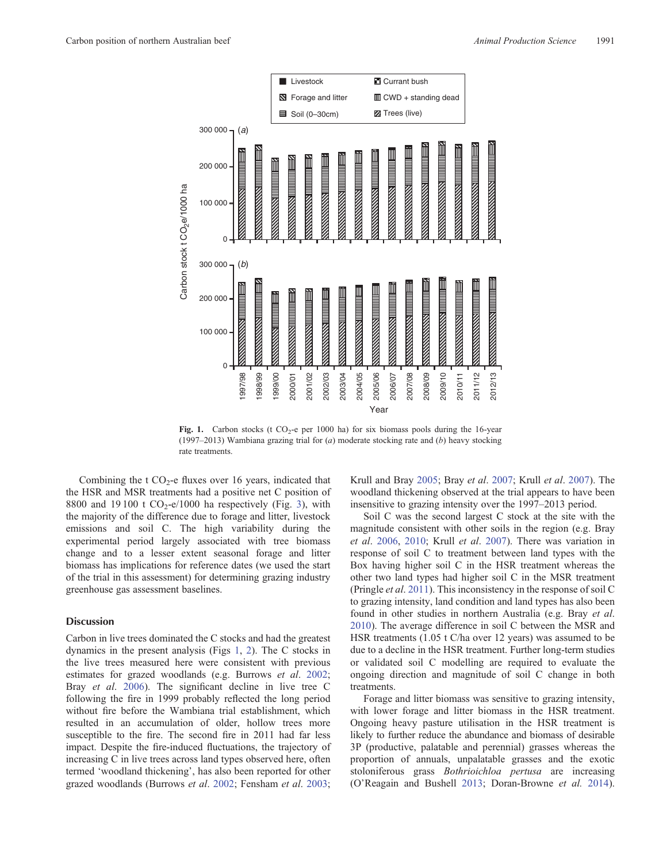<span id="page-3-0"></span>

Fig. 1. Carbon stocks (t  $CO_2$ -e per 1000 ha) for six biomass pools during the 16-year (1997–2013) Wambiana grazing trial for (*a*) moderate stocking rate and (*b*) heavy stocking rate treatments.

Combining the  $t CO<sub>2</sub>$ -e fluxes over 16 years, indicated that the HSR and MSR treatments had a positive net C position of 8800 and 19100 t  $CO_2$ -e/1000 ha respectively (Fig. [3\)](#page-4-0), with the majority of the difference due to forage and litter, livestock emissions and soil C. The high variability during the experimental period largely associated with tree biomass change and to a lesser extent seasonal forage and litter biomass has implications for reference dates (we used the start of the trial in this assessment) for determining grazing industry greenhouse gas assessment baselines.

## **Discussion**

Carbon in live trees dominated the C stocks and had the greatest dynamics in the present analysis (Figs 1, [2](#page-4-0)). The C stocks in the live trees measured here were consistent with previous estimates for grazed woodlands (e.g. Burrows *et al*. [2002](#page-5-0); Bray *et al*. [2006](#page-5-0)). The significant decline in live tree C following the fire in 1999 probably reflected the long period without fire before the Wambiana trial establishment, which resulted in an accumulation of older, hollow trees more susceptible to the fire. The second fire in 2011 had far less impact. Despite the fire-induced fluctuations, the trajectory of increasing C in live trees across land types observed here, often termed 'woodland thickening', has also been reported for other grazed woodlands (Burrows *et al*. [2002;](#page-5-0) Fensham *et al*. [2003](#page-5-0); Krull and Bray [2005;](#page-6-0) Bray *et al*. [2007;](#page-5-0) Krull *et al*. [2007\)](#page-6-0). The woodland thickening observed at the trial appears to have been insensitive to grazing intensity over the 1997–2013 period.

Soil C was the second largest C stock at the site with the magnitude consistent with other soils in the region (e.g. Bray *et al*. [2006,](#page-5-0) [2010;](#page-5-0) Krull *et al*. [2007\)](#page-6-0). There was variation in response of soil C to treatment between land types with the Box having higher soil C in the HSR treatment whereas the other two land types had higher soil C in the MSR treatment (Pringle *et al*. [2011\)](#page-6-0). This inconsistency in the response of soil C to grazing intensity, land condition and land types has also been found in other studies in northern Australia (e.g. Bray *et al*. [2010\)](#page-5-0). The average difference in soil C between the MSR and HSR treatments (1.05 t C/ha over 12 years) was assumed to be due to a decline in the HSR treatment. Further long-term studies or validated soil C modelling are required to evaluate the ongoing direction and magnitude of soil C change in both treatments.

Forage and litter biomass was sensitive to grazing intensity, with lower forage and litter biomass in the HSR treatment. Ongoing heavy pasture utilisation in the HSR treatment is likely to further reduce the abundance and biomass of desirable 3P (productive, palatable and perennial) grasses whereas the proportion of annuals, unpalatable grasses and the exotic stoloniferous grass *Bothrioichloa pertusa* are increasing (O'Reagain and Bushell [2013](#page-6-0); Doran-Browne *et al.* [2014](#page-5-0)).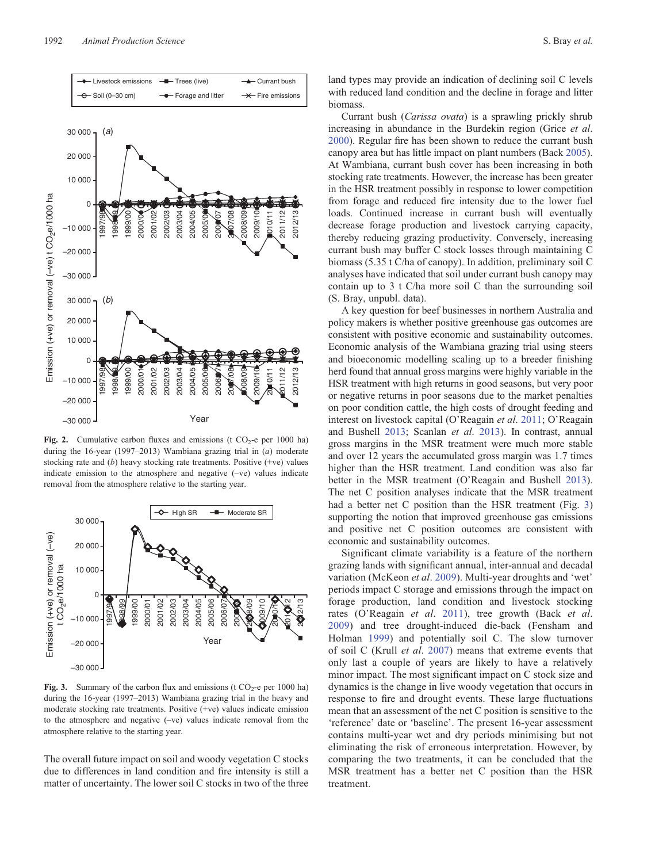<span id="page-4-0"></span>

**Fig. 2.** Cumulative carbon fluxes and emissions (t  $CO<sub>2</sub>$ -e per 1000 ha) during the 16-year (1997–2013) Wambiana grazing trial in (*a*) moderate stocking rate and (*b*) heavy stocking rate treatments. Positive (+ve) values indicate emission to the atmosphere and negative (–ve) values indicate removal from the atmosphere relative to the starting year.



**Fig. 3.** Summary of the carbon flux and emissions (t  $CO_2$ -e per 1000 ha) during the 16-year (1997–2013) Wambiana grazing trial in the heavy and moderate stocking rate treatments. Positive (+ve) values indicate emission to the atmosphere and negative (–ve) values indicate removal from the atmosphere relative to the starting year.

The overall future impact on soil and woody vegetation C stocks due to differences in land condition and fire intensity is still a matter of uncertainty. The lower soil C stocks in two of the three

land types may provide an indication of declining soil C levels with reduced land condition and the decline in forage and litter biomass.

Currant bush (*Carissa ovata*) is a sprawling prickly shrub increasing in abundance in the Burdekin region (Grice *et al*. [2000\)](#page-5-0). Regular fire has been shown to reduce the currant bush canopy area but has little impact on plant numbers (Back [2005](#page-5-0)). At Wambiana, currant bush cover has been increasing in both stocking rate treatments. However, the increase has been greater in the HSR treatment possibly in response to lower competition from forage and reduced fire intensity due to the lower fuel loads. Continued increase in currant bush will eventually decrease forage production and livestock carrying capacity, thereby reducing grazing productivity. Conversely, increasing currant bush may buffer C stock losses through maintaining C biomass (5.35 t C/ha of canopy). In addition, preliminary soil C analyses have indicated that soil under currant bush canopy may contain up to 3 t C/ha more soil C than the surrounding soil (S. Bray, unpubl. data).

A key question for beef businesses in northern Australia and policy makers is whether positive greenhouse gas outcomes are consistent with positive economic and sustainability outcomes. Economic analysis of the Wambiana grazing trial using steers and bioeconomic modelling scaling up to a breeder finishing herd found that annual gross margins were highly variable in the HSR treatment with high returns in good seasons, but very poor or negative returns in poor seasons due to the market penalties on poor condition cattle, the high costs of drought feeding and interest on livestock capital (O'Reagain *et al*. [2011;](#page-6-0) O'Reagain and Bushell [2013;](#page-6-0) Scanlan *et al*. [2013](#page-6-0)). In contrast, annual gross margins in the MSR treatment were much more stable and over 12 years the accumulated gross margin was 1.7 times higher than the HSR treatment. Land condition was also far better in the MSR treatment (O'Reagain and Bushell [2013](#page-6-0)). The net C position analyses indicate that the MSR treatment had a better net C position than the HSR treatment (Fig. 3) supporting the notion that improved greenhouse gas emissions and positive net C position outcomes are consistent with economic and sustainability outcomes.

Significant climate variability is a feature of the northern grazing lands with significant annual, inter-annual and decadal variation (McKeon *et al*. [2009\)](#page-6-0). Multi-year droughts and 'wet' periods impact C storage and emissions through the impact on forage production, land condition and livestock stocking rates (O'Reagain *et al*. [2011](#page-6-0)), tree growth (Back *et al*. [2009\)](#page-5-0) and tree drought-induced die-back (Fensham and Holman [1999](#page-5-0)) and potentially soil C. The slow turnover of soil C (Krull *et al*. [2007](#page-6-0)) means that extreme events that only last a couple of years are likely to have a relatively minor impact. The most significant impact on C stock size and dynamics is the change in live woody vegetation that occurs in response to fire and drought events. These large fluctuations mean that an assessment of the net C position is sensitive to the 'reference' date or 'baseline'. The present 16-year assessment contains multi-year wet and dry periods minimising but not eliminating the risk of erroneous interpretation. However, by comparing the two treatments, it can be concluded that the MSR treatment has a better net C position than the HSR treatment.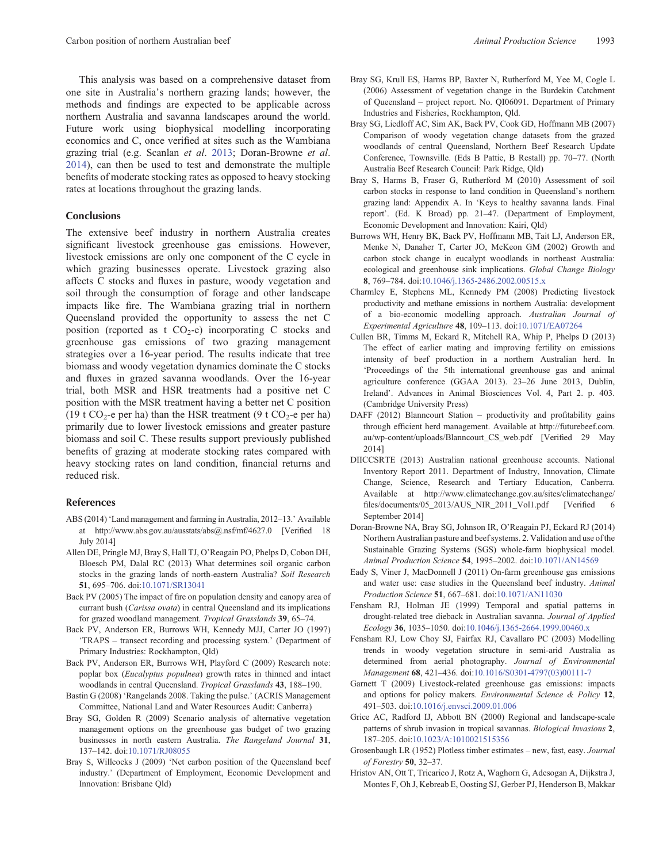<span id="page-5-0"></span>This analysis was based on a comprehensive dataset from one site in Australia's northern grazing lands; however, the methods and findings are expected to be applicable across northern Australia and savanna landscapes around the world. Future work using biophysical modelling incorporating economics and C, once verified at sites such as the Wambiana grazing trial (e.g. Scanlan *et al*. [2013](#page-6-0); Doran-Browne *et al*. 2014), can then be used to test and demonstrate the multiple benefits of moderate stocking rates as opposed to heavy stocking rates at locations throughout the grazing lands.

## **Conclusions**

The extensive beef industry in northern Australia creates significant livestock greenhouse gas emissions. However, livestock emissions are only one component of the C cycle in which grazing businesses operate. Livestock grazing also affects C stocks and fluxes in pasture, woody vegetation and soil through the consumption of forage and other landscape impacts like fire. The Wambiana grazing trial in northern Queensland provided the opportunity to assess the net C position (reported as t  $CO<sub>2</sub>-e$ ) incorporating C stocks and greenhouse gas emissions of two grazing management strategies over a 16-year period. The results indicate that tree biomass and woody vegetation dynamics dominate the C stocks and fluxes in grazed savanna woodlands. Over the 16-year trial, both MSR and HSR treatments had a positive net C position with the MSR treatment having a better net C position (19 t CO<sub>2</sub>-e per ha) than the HSR treatment (9 t CO<sub>2</sub>-e per ha) primarily due to lower livestock emissions and greater pasture biomass and soil C. These results support previously published benefits of grazing at moderate stocking rates compared with heavy stocking rates on land condition, financial returns and reduced risk.

#### **References**

- ABS (2014) 'Land management and farming in Australia, 2012–13.' Available at [http://www.abs.gov.au/ausstats/abs@.nsf/mf/4627.0](www.abs.gov.au/ausstats/abs@.nsf/mf/4627.0) [Verified 18 July 2014]
- Allen DE, Pringle MJ, Bray S, Hall TJ, O'Reagain PO, Phelps D, Cobon DH, Bloesch PM, Dalal RC (2013) What determines soil organic carbon stocks in the grazing lands of north-eastern Australia? *Soil Research* **51**, 695–706. doi:[10.1071/SR13041](dx.doi.org/10.1071/SR13041)
- Back PV (2005) The impact of fire on population density and canopy area of currant bush (*Carissa ovata*) in central Queensland and its implications for grazed woodland management. *Tropical Grasslands* **39**, 65–74.
- Back PV, Anderson ER, Burrows WH, Kennedy MJJ, Carter JO (1997) 'TRAPS – transect recording and processing system.' (Department of Primary Industries: Rockhampton, Qld)
- Back PV, Anderson ER, Burrows WH, Playford C (2009) Research note: poplar box (*Eucalyptus populnea*) growth rates in thinned and intact woodlands in central Queensland. *Tropical Grasslands* **43**, 188–190.
- Bastin G (2008) 'Rangelands 2008. Taking the pulse.' (ACRIS Management Committee, National Land and Water Resources Audit: Canberra)
- Bray SG, Golden R (2009) Scenario analysis of alternative vegetation management options on the greenhouse gas budget of two grazing businesses in north eastern Australia. *The Rangeland Journal* **31**, 137–142. doi:[10.1071/RJ08055](dx.doi.org/10.1071/RJ08055)
- Bray S, Willcocks J (2009) 'Net carbon position of the Queensland beef industry.' (Department of Employment, Economic Development and Innovation: Brisbane Qld)
- Bray SG, Krull ES, Harms BP, Baxter N, Rutherford M, Yee M, Cogle L (2006) Assessment of vegetation change in the Burdekin Catchment of Queensland – project report. No. QI06091. Department of Primary Industries and Fisheries, Rockhampton, Qld.
- Bray SG, Liedloff AC, Sim AK, Back PV, Cook GD, Hoffmann MB (2007) Comparison of woody vegetation change datasets from the grazed woodlands of central Queensland, Northern Beef Research Update Conference, Townsville. (Eds B Pattie, B Restall) pp. 70–77. (North Australia Beef Research Council: Park Ridge, Qld)
- Bray S, Harms B, Fraser G, Rutherford M (2010) Assessment of soil carbon stocks in response to land condition in Queensland's northern grazing land: Appendix A. In 'Keys to healthy savanna lands. Final report'. (Ed. K Broad) pp. 21–47. (Department of Employment, Economic Development and Innovation: Kairi, Qld)
- Burrows WH, Henry BK, Back PV, Hoffmann MB, Tait LJ, Anderson ER, Menke N, Danaher T, Carter JO, McKeon GM (2002) Growth and carbon stock change in eucalypt woodlands in northeast Australia: ecological and greenhouse sink implications. *Global Change Biology* **8**, 769–784. doi[:10.1046/j.1365-2486.2002.00515.x](dx.doi.org/10.1046/j.1365-2486.2002.00515.x)
- Charmley E, Stephens ML, Kennedy PM (2008) Predicting livestock productivity and methane emissions in northern Australia: development of a bio-economic modelling approach. *Australian Journal of Experimental Agriculture* **48**, 109–113. doi[:10.1071/EA07264](dx.doi.org/10.1071/EA07264)
- Cullen BR, Timms M, Eckard R, Mitchell RA, Whip P, Phelps D (2013) The effect of earlier mating and improving fertility on emissions intensity of beef production in a northern Australian herd. In 'Proceedings of the 5th international greenhouse gas and animal agriculture conference (GGAA 2013). 23–26 June 2013, Dublin, Ireland'. Advances in Animal Biosciences Vol. 4, Part 2. p. 403. (Cambridge University Press)
- DAFF (2012) Blanncourt Station productivity and profitability gains through efficient herd management. Available at [http://futurebeef.com.](http://futurebeef.com.au/wp-content/uploads/Blanncourt_CS_web.pdf) [au/wp-content/uploads/Blanncourt\\_CS\\_web.pdf](http://futurebeef.com.au/wp-content/uploads/Blanncourt_CS_web.pdf) [Verified 29 May 2014]
- DIICCSRTE (2013) Australian national greenhouse accounts. National Inventory Report 2011. Department of Industry, Innovation, Climate Change, Science, Research and Tertiary Education, Canberra. Available at [http://www.climatechange.gov.au/sites/climatechange/](www.climatechange.gov.au/sites/climatechange/files/documents/05_2013/AUS_NIR_2011_Vol1.pdf) fi[les/documents/05\\_2013/AUS\\_NIR\\_2011\\_Vol1.pdf](www.climatechange.gov.au/sites/climatechange/files/documents/05_2013/AUS_NIR_2011_Vol1.pdf) [Verified 6 September 2014]
- Doran-Browne NA, Bray SG, Johnson IR, O'Reagain PJ, Eckard RJ (2014) Northern Australian pasture and beef systems. 2. Validation and use of the Sustainable Grazing Systems (SGS) whole-farm biophysical model. *Animal Production Science* **54**, 1995–2002. doi:[10.1071/AN14569](dx.doi.org/10.1071/AN14569)
- Eady S, Viner J, MacDonnell J (2011) On-farm greenhouse gas emissions and water use: case studies in the Queensland beef industry. *Animal Production Science* **51**, 667–681. doi:[10.1071/AN11030](dx.doi.org/10.1071/AN11030)
- Fensham RJ, Holman JE (1999) Temporal and spatial patterns in drought-related tree dieback in Australian savanna. *Journal of Applied Ecology* **36**, 1035–1050. doi:[10.1046/j.1365-2664.1999.00460.x](dx.doi.org/10.1046/j.1365-2664.1999.00460.x)
- Fensham RJ, Low Choy SJ, Fairfax RJ, Cavallaro PC (2003) Modelling trends in woody vegetation structure in semi-arid Australia as determined from aerial photography. *Journal of Environmental Management* **68**, 421–436. doi[:10.1016/S0301-4797\(03\)00111-7](dx.doi.org/10.1016/S0301-4797(03)00111-7)
- Garnett T (2009) Livestock-related greenhouse gas emissions: impacts and options for policy makers. *Environmental Science & Policy* **12**, 491–503. doi:[10.1016/j.envsci.2009.01.006](dx.doi.org/10.1016/j.envsci.2009.01.006)
- Grice AC, Radford IJ, Abbott BN (2000) Regional and landscape-scale patterns of shrub invasion in tropical savannas. *Biological Invasions* **2**, 187–205. doi:[10.1023/A:1010021515356](dx.doi.org/10.1023/A:1010021515356)
- Grosenbaugh LR (1952) Plotless timber estimates new, fast, easy. *Journal of Forestry* **50**, 32–37.
- Hristov AN, Ott T, Tricarico J, Rotz A, Waghorn G, Adesogan A, Dijkstra J, Montes F, Oh J, Kebreab E, Oosting SJ, Gerber PJ, Henderson B, Makkar